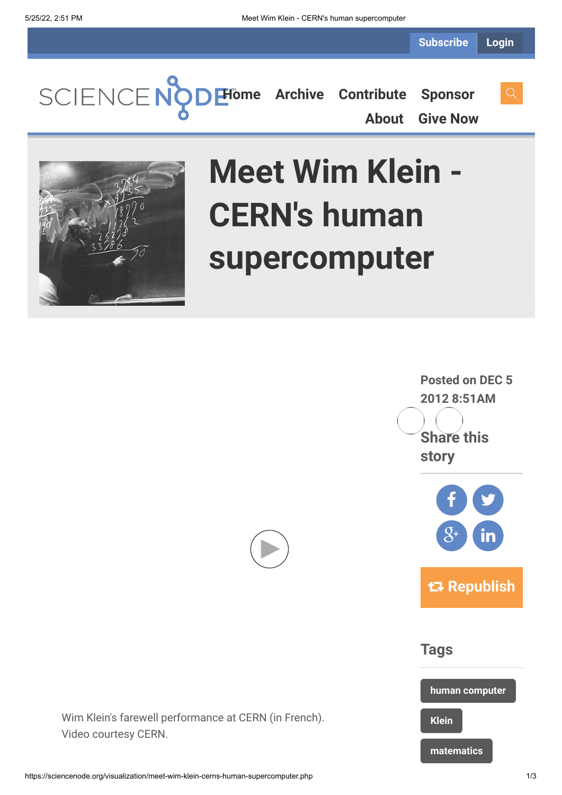**[Home](https://sciencenode.org/) [Archive](https://sciencenode.org/archive/index.php) [Contribute](https://sciencenode.org/contribute/index.php) [Sponsor](https://sciencenode.org/sponsor/index.php)**

**[About](https://sciencenode.org/about/index.php) [Give Now](https://sciencenode.org/donate/index.php)**



## **Meet Wim Klein - CERN's human supercomputer**





Wim Klein's farewell performance at CERN (in French). Video courtesy CERN.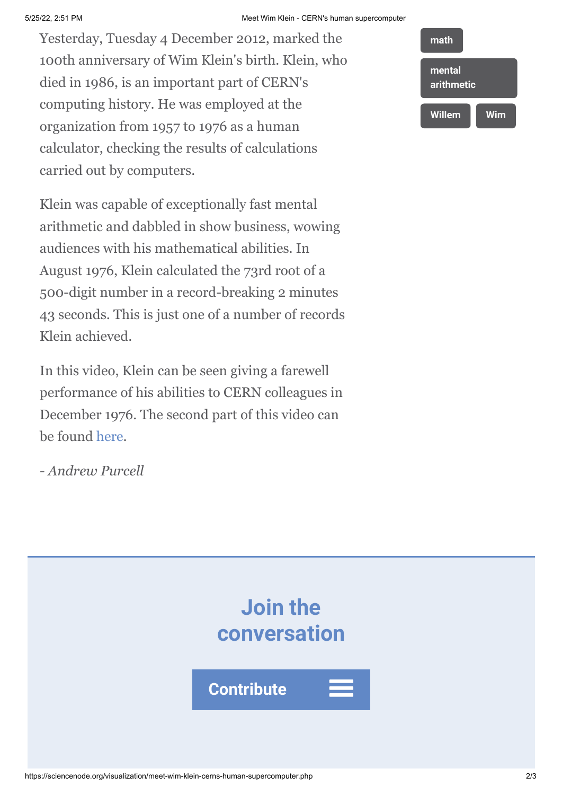Yesterday, Tuesday 4 December 2012, marked the 100th anniversary of Wim Klein's birth. Klein, who died in 1986, is an important part of CERN's computing history. He was employed at the organization from 1957 to 1976 as a human calculator, checking the results of calculations carried out by computers.

Klein was capable of exceptionally fast mental arithmetic and dabbled in show business, wowing audiences with his mathematical abilities. In August 1976, Klein calculated the 73rd root of a 500-digit number in a record-breaking 2 minutes 43 seconds. This is just one of a number of records Klein achieved.

In this video, Klein can be seen giving a farewell performance of his abilities to CERN colleagues in December 1976. The second part of this video can be found [here.](http://cdsweb.cern.ch/record/422552)

*- Andrew Purcell*